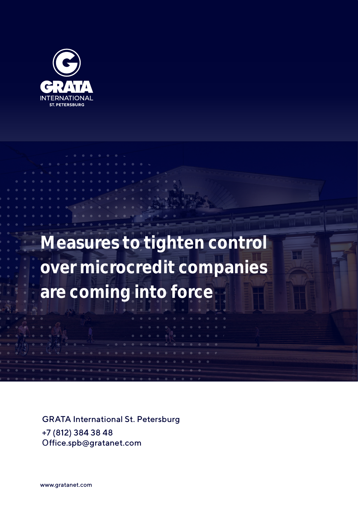

**Measures to tighten control over microcredit companies are coming into force**

GRATA International St. Petersburg +7 (812) 384 38 48 Office.spb@gratanet.com

www.gratanet.com